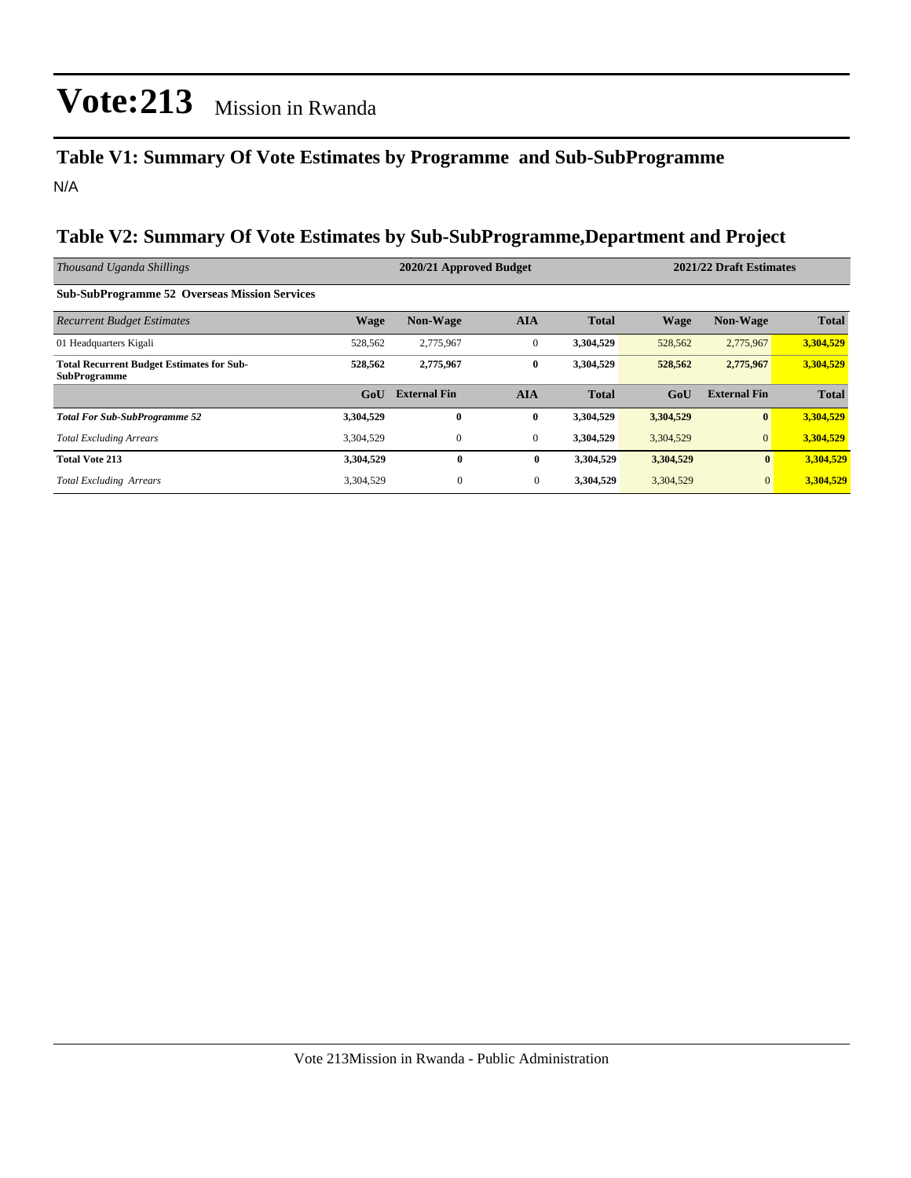#### **Table V1: Summary Of Vote Estimates by Programme and Sub-SubProgramme** N/A

#### **Table V2: Summary Of Vote Estimates by Sub-SubProgramme,Department and Project**

| Thousand Uganda Shillings                                               |                  | 2020/21 Approved Budget |                |              | 2021/22 Draft Estimates |                     |              |
|-------------------------------------------------------------------------|------------------|-------------------------|----------------|--------------|-------------------------|---------------------|--------------|
| <b>Sub-SubProgramme 52 Overseas Mission Services</b>                    |                  |                         |                |              |                         |                     |              |
| <b>Recurrent Budget Estimates</b>                                       | <b>Wage</b>      | <b>Non-Wage</b>         | <b>AIA</b>     | <b>Total</b> | <b>Wage</b>             | <b>Non-Wage</b>     | <b>Total</b> |
| 01 Headquarters Kigali                                                  | 528,562          | 2,775,967               | $\mathbf{0}$   | 3,304,529    | 528,562                 | 2,775,967           | 3,304,529    |
| <b>Total Recurrent Budget Estimates for Sub-</b><br><b>SubProgramme</b> | 528,562          | 2,775,967               | $\bf{0}$       | 3,304,529    | 528,562                 | 2,775,967           | 3,304,529    |
|                                                                         | G <sub>o</sub> U | <b>External Fin</b>     | <b>AIA</b>     | <b>Total</b> | GoU                     | <b>External Fin</b> | <b>Total</b> |
| <b>Total For Sub-SubProgramme 52</b>                                    | 3,304,529        | $\mathbf{0}$            | $\bf{0}$       | 3,304,529    | 3,304,529               | $\mathbf{0}$        | 3,304,529    |
| <b>Total Excluding Arrears</b>                                          | 3,304,529        | $\mathbf{0}$            | $\overline{0}$ | 3,304,529    | 3,304,529               | $\mathbf{0}$        | 3,304,529    |
| <b>Total Vote 213</b>                                                   | 3,304,529        | $\bf{0}$                | $\bf{0}$       | 3,304,529    | 3,304,529               | $\bf{0}$            | 3,304,529    |
| <b>Total Excluding Arrears</b>                                          | 3,304,529        | $\mathbf{0}$            | $\overline{0}$ | 3,304,529    | 3,304,529               | $\mathbf{0}$        | 3,304,529    |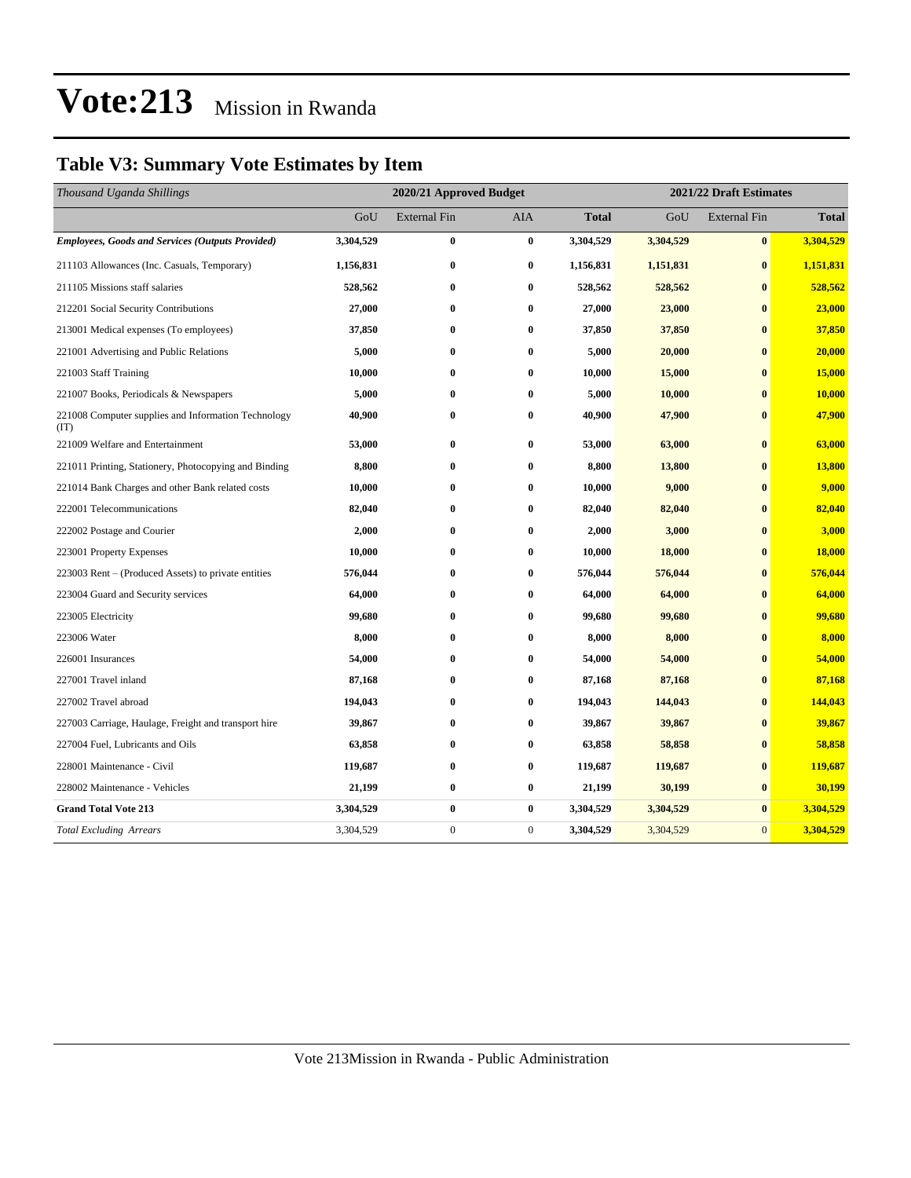### **Table V3: Summary Vote Estimates by Item**

| Thousand Uganda Shillings                                   | 2020/21 Approved Budget |                     |              |              | 2021/22 Draft Estimates |                     |               |  |
|-------------------------------------------------------------|-------------------------|---------------------|--------------|--------------|-------------------------|---------------------|---------------|--|
|                                                             | GoU                     | <b>External Fin</b> | AIA          | <b>Total</b> | GoU                     | <b>External Fin</b> | <b>Total</b>  |  |
| <b>Employees, Goods and Services (Outputs Provided)</b>     | 3,304,529               | $\bf{0}$            | $\bf{0}$     | 3,304,529    | 3,304,529               | $\bf{0}$            | 3,304,529     |  |
| 211103 Allowances (Inc. Casuals, Temporary)                 | 1,156,831               | $\bf{0}$            | $\bf{0}$     | 1,156,831    | 1,151,831               | $\bf{0}$            | 1,151,831     |  |
| 211105 Missions staff salaries                              | 528,562                 | $\bf{0}$            | $\bf{0}$     | 528,562      | 528,562                 | $\bf{0}$            | 528,562       |  |
| 212201 Social Security Contributions                        | 27,000                  | $\bf{0}$            | $\bf{0}$     | 27,000       | 23,000                  | $\bf{0}$            | 23,000        |  |
| 213001 Medical expenses (To employees)                      | 37,850                  | $\bf{0}$            | $\bf{0}$     | 37,850       | 37,850                  | $\bf{0}$            | 37,850        |  |
| 221001 Advertising and Public Relations                     | 5,000                   | $\bf{0}$            | $\bf{0}$     | 5,000        | 20,000                  | $\bf{0}$            | 20,000        |  |
| 221003 Staff Training                                       | 10,000                  | $\bf{0}$            | $\bf{0}$     | 10,000       | 15,000                  | $\bf{0}$            | 15,000        |  |
| 221007 Books, Periodicals & Newspapers                      | 5,000                   | $\bf{0}$            | 0            | 5,000        | 10,000                  | $\bf{0}$            | <b>10,000</b> |  |
| 221008 Computer supplies and Information Technology<br>(TT) | 40,900                  | $\bf{0}$            | $\bf{0}$     | 40,900       | 47,900                  | $\bf{0}$            | 47,900        |  |
| 221009 Welfare and Entertainment                            | 53,000                  | $\bf{0}$            | $\bf{0}$     | 53,000       | 63,000                  | $\bf{0}$            | 63,000        |  |
| 221011 Printing, Stationery, Photocopying and Binding       | 8,800                   | $\bf{0}$            | $\bf{0}$     | 8,800        | 13,800                  | $\bf{0}$            | 13,800        |  |
| 221014 Bank Charges and other Bank related costs            | 10,000                  | $\bf{0}$            | $\bf{0}$     | 10,000       | 9,000                   | $\bf{0}$            | 9,000         |  |
| 222001 Telecommunications                                   | 82,040                  | $\bf{0}$            | $\bf{0}$     | 82,040       | 82,040                  | $\bf{0}$            | 82,040        |  |
| 222002 Postage and Courier                                  | 2,000                   | $\bf{0}$            | $\bf{0}$     | 2,000        | 3,000                   | $\bf{0}$            | 3,000         |  |
| 223001 Property Expenses                                    | 10,000                  | $\bf{0}$            | $\bf{0}$     | 10,000       | 18,000                  | $\bf{0}$            | 18,000        |  |
| 223003 Rent – (Produced Assets) to private entities         | 576,044                 | $\bf{0}$            | $\bf{0}$     | 576,044      | 576,044                 | $\bf{0}$            | 576,044       |  |
| 223004 Guard and Security services                          | 64,000                  | $\bf{0}$            | $\bf{0}$     | 64,000       | 64,000                  | $\bf{0}$            | 64,000        |  |
| 223005 Electricity                                          | 99,680                  | $\bf{0}$            | $\bf{0}$     | 99,680       | 99,680                  | $\bf{0}$            | 99,680        |  |
| 223006 Water                                                | 8,000                   | $\bf{0}$            | $\bf{0}$     | 8,000        | 8,000                   | $\bf{0}$            | 8,000         |  |
| 226001 Insurances                                           | 54,000                  | $\bf{0}$            | $\bf{0}$     | 54,000       | 54,000                  | $\bf{0}$            | 54,000        |  |
| 227001 Travel inland                                        | 87,168                  | $\bf{0}$            | $\bf{0}$     | 87,168       | 87,168                  | $\bf{0}$            | 87,168        |  |
| 227002 Travel abroad                                        | 194,043                 | $\bf{0}$            | $\bf{0}$     | 194,043      | 144,043                 | $\bf{0}$            | 144,043       |  |
| 227003 Carriage, Haulage, Freight and transport hire        | 39,867                  | $\bf{0}$            | $\bf{0}$     | 39,867       | 39,867                  | $\bf{0}$            | 39,867        |  |
| 227004 Fuel, Lubricants and Oils                            | 63,858                  | $\bf{0}$            | $\bf{0}$     | 63,858       | 58,858                  | $\bf{0}$            | 58,858        |  |
| 228001 Maintenance - Civil                                  | 119,687                 | $\bf{0}$            | $\bf{0}$     | 119,687      | 119,687                 | $\bf{0}$            | 119,687       |  |
| 228002 Maintenance - Vehicles                               | 21,199                  | $\bf{0}$            | $\bf{0}$     | 21,199       | 30,199                  | $\bf{0}$            | 30,199        |  |
| <b>Grand Total Vote 213</b>                                 | 3,304,529               | $\bf{0}$            | $\bf{0}$     | 3,304,529    | 3,304,529               | $\boldsymbol{0}$    | 3,304,529     |  |
| <b>Total Excluding Arrears</b>                              | 3,304,529               | $\boldsymbol{0}$    | $\mathbf{0}$ | 3,304,529    | 3,304,529               | $\mathbf{0}$        | 3,304,529     |  |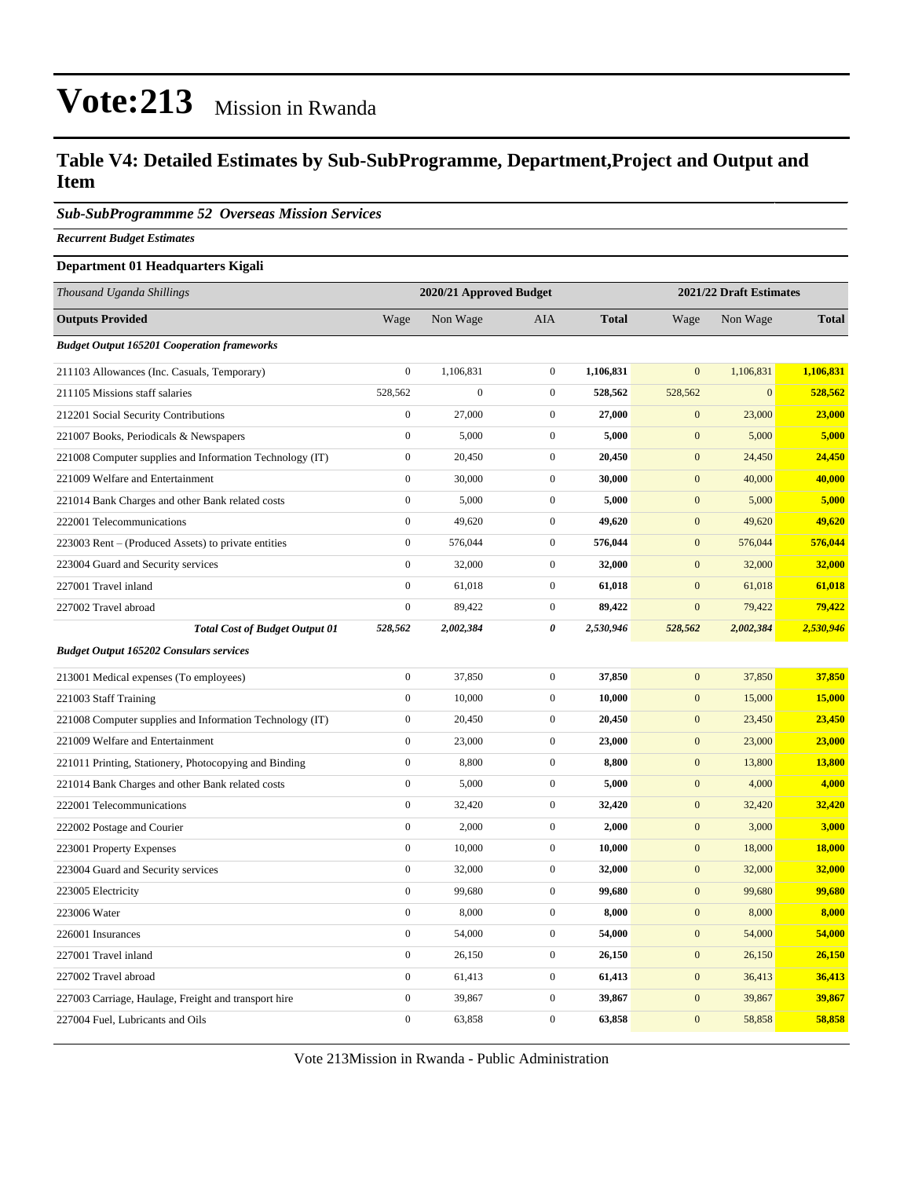#### **Table V4: Detailed Estimates by Sub-SubProgramme, Department,Project and Output and Item**

*Sub-SubProgrammme 52 Overseas Mission Services*

*Recurrent Budget Estimates*

#### **Department 01 Headquarters Kigali**

| Thousand Uganda Shillings                                |                  | 2020/21 Approved Budget |                  | 2021/22 Draft Estimates |                  |              |              |
|----------------------------------------------------------|------------------|-------------------------|------------------|-------------------------|------------------|--------------|--------------|
| <b>Outputs Provided</b>                                  | Wage             | Non Wage                | <b>AIA</b>       | <b>Total</b>            | Wage             | Non Wage     | <b>Total</b> |
| <b>Budget Output 165201 Cooperation frameworks</b>       |                  |                         |                  |                         |                  |              |              |
| 211103 Allowances (Inc. Casuals, Temporary)              | $\mathbf{0}$     | 1,106,831               | $\mathbf{0}$     | 1,106,831               | $\overline{0}$   | 1,106,831    | 1,106,831    |
| 211105 Missions staff salaries                           | 528,562          | $\boldsymbol{0}$        | $\boldsymbol{0}$ | 528,562                 | 528,562          | $\mathbf{0}$ | 528,562      |
| 212201 Social Security Contributions                     | $\mathbf{0}$     | 27,000                  | $\overline{0}$   | 27,000                  | $\overline{0}$   | 23,000       | 23,000       |
| 221007 Books, Periodicals & Newspapers                   | $\boldsymbol{0}$ | 5,000                   | $\mathbf{0}$     | 5,000                   | $\mathbf{0}$     | 5,000        | 5,000        |
| 221008 Computer supplies and Information Technology (IT) | $\boldsymbol{0}$ | 20,450                  | $\mathbf{0}$     | 20,450                  | $\mathbf{0}$     | 24,450       | 24,450       |
| 221009 Welfare and Entertainment                         | $\boldsymbol{0}$ | 30,000                  | $\boldsymbol{0}$ | 30,000                  | $\mathbf{0}$     | 40,000       | 40,000       |
| 221014 Bank Charges and other Bank related costs         | $\boldsymbol{0}$ | 5,000                   | $\boldsymbol{0}$ | 5,000                   | $\mathbf{0}$     | 5,000        | 5,000        |
| 222001 Telecommunications                                | $\boldsymbol{0}$ | 49,620                  | $\boldsymbol{0}$ | 49,620                  | $\mathbf{0}$     | 49,620       | 49,620       |
| 223003 Rent – (Produced Assets) to private entities      | $\boldsymbol{0}$ | 576,044                 | $\boldsymbol{0}$ | 576,044                 | $\mathbf{0}$     | 576,044      | 576,044      |
| 223004 Guard and Security services                       | $\mathbf{0}$     | 32,000                  | $\boldsymbol{0}$ | 32,000                  | $\boldsymbol{0}$ | 32,000       | 32,000       |
| 227001 Travel inland                                     | $\boldsymbol{0}$ | 61,018                  | $\boldsymbol{0}$ | 61,018                  | $\mathbf{0}$     | 61,018       | 61,018       |
| 227002 Travel abroad                                     | $\boldsymbol{0}$ | 89,422                  | $\boldsymbol{0}$ | 89,422                  | $\mathbf{0}$     | 79,422       | 79,422       |
| <b>Total Cost of Budget Output 01</b>                    | 528,562          | 2,002,384               | 0                | 2,530,946               | 528,562          | 2,002,384    | 2,530,946    |
| <b>Budget Output 165202 Consulars services</b>           |                  |                         |                  |                         |                  |              |              |
| 213001 Medical expenses (To employees)                   | $\mathbf{0}$     | 37,850                  | $\mathbf{0}$     | 37,850                  | $\overline{0}$   | 37,850       | 37,850       |
| 221003 Staff Training                                    | $\boldsymbol{0}$ | 10,000                  | $\boldsymbol{0}$ | 10,000                  | $\mathbf{0}$     | 15,000       | 15,000       |
| 221008 Computer supplies and Information Technology (IT) | $\boldsymbol{0}$ | 20,450                  | $\boldsymbol{0}$ | 20,450                  | $\mathbf{0}$     | 23,450       | 23,450       |
| 221009 Welfare and Entertainment                         | $\boldsymbol{0}$ | 23,000                  | $\boldsymbol{0}$ | 23,000                  | $\mathbf{0}$     | 23,000       | 23,000       |
| 221011 Printing, Stationery, Photocopying and Binding    | $\boldsymbol{0}$ | 8,800                   | $\boldsymbol{0}$ | 8,800                   | $\boldsymbol{0}$ | 13,800       | 13,800       |
| 221014 Bank Charges and other Bank related costs         | $\boldsymbol{0}$ | 5,000                   | $\boldsymbol{0}$ | 5,000                   | $\mathbf{0}$     | 4,000        | 4,000        |
| 222001 Telecommunications                                | $\boldsymbol{0}$ | 32,420                  | $\boldsymbol{0}$ | 32,420                  | $\boldsymbol{0}$ | 32,420       | 32,420       |
| 222002 Postage and Courier                               | $\mathbf{0}$     | 2,000                   | $\boldsymbol{0}$ | 2,000                   | $\boldsymbol{0}$ | 3,000        | 3,000        |
| 223001 Property Expenses                                 | $\boldsymbol{0}$ | 10,000                  | $\boldsymbol{0}$ | 10,000                  | $\boldsymbol{0}$ | 18,000       | 18,000       |
| 223004 Guard and Security services                       | $\boldsymbol{0}$ | 32,000                  | $\boldsymbol{0}$ | 32,000                  | $\boldsymbol{0}$ | 32,000       | 32,000       |
| 223005 Electricity                                       | $\boldsymbol{0}$ | 99,680                  | $\boldsymbol{0}$ | 99,680                  | $\mathbf{0}$     | 99,680       | 99,680       |
| 223006 Water                                             | $\boldsymbol{0}$ | 8,000                   | $\boldsymbol{0}$ | 8,000                   | $\boldsymbol{0}$ | 8,000        | 8,000        |
| 226001 Insurances                                        | $\boldsymbol{0}$ | 54,000                  | $\boldsymbol{0}$ | 54,000                  | $\mathbf{0}$     | 54,000       | 54,000       |
| 227001 Travel inland                                     | $\boldsymbol{0}$ | 26,150                  | $\boldsymbol{0}$ | 26,150                  | $\boldsymbol{0}$ | 26,150       | 26,150       |
| 227002 Travel abroad                                     | $\boldsymbol{0}$ | 61,413                  | $\boldsymbol{0}$ | 61,413                  | $\mathbf{0}$     | 36,413       | 36,413       |
| 227003 Carriage, Haulage, Freight and transport hire     | $\boldsymbol{0}$ | 39,867                  | $\boldsymbol{0}$ | 39,867                  | $\mathbf{0}$     | 39,867       | 39,867       |
| 227004 Fuel, Lubricants and Oils                         | $\boldsymbol{0}$ | 63,858                  | $\boldsymbol{0}$ | 63,858                  | $\mathbf{0}$     | 58,858       | 58,858       |

Vote 213Mission in Rwanda - Public Administration